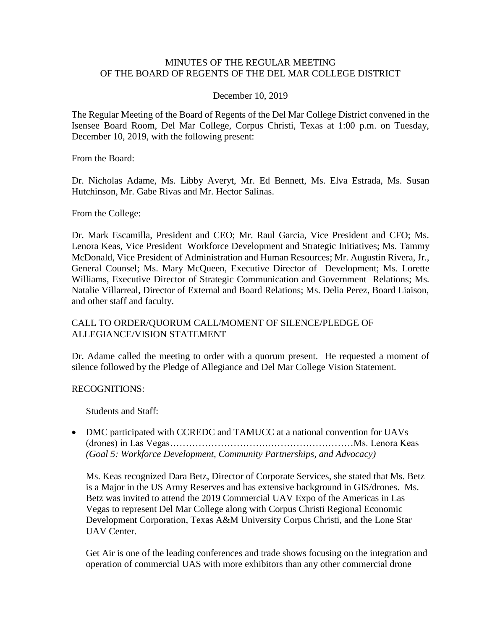### MINUTES OF THE REGULAR MEETING OF THE BOARD OF REGENTS OF THE DEL MAR COLLEGE DISTRICT

#### December 10, 2019

 Isensee Board Room, Del Mar College, Corpus Christi, Texas at 1:00 p.m. on Tuesday, The Regular Meeting of the Board of Regents of the Del Mar College District convened in the December 10, 2019, with the following present:

From the Board:

Dr. Nicholas Adame, Ms. Libby Averyt, Mr. Ed Bennett, Ms. Elva Estrada, Ms. Susan Hutchinson, Mr. Gabe Rivas and Mr. Hector Salinas.

From the College:

 Lenora Keas, Vice President Workforce Development and Strategic Initiatives; Ms. Tammy General Counsel; Ms. Mary McQueen, Executive Director of Development; Ms. Lorette Natalie Villarreal, Director of External and Board Relations; Ms. Delia Perez, Board Liaison, and other staff and faculty. Dr. Mark Escamilla, President and CEO; Mr. Raul Garcia, Vice President and CFO; Ms. McDonald, Vice President of Administration and Human Resources; Mr. Augustin Rivera, Jr., Williams, Executive Director of Strategic Communication and Government Relations; Ms.

### CALL TO ORDER/QUORUM CALL/MOMENT OF SILENCE/PLEDGE OF ALLEGIANCE/VISION STATEMENT

 Dr. Adame called the meeting to order with a quorum present. He requested a moment of silence followed by the Pledge of Allegiance and Del Mar College Vision Statement.

#### RECOGNITIONS:

Students and Staff:

• DMC participated with CCREDC and TAMUCC at a national convention for UAVs (drones) in Las Vegas………………………….………………………Ms. Lenora Keas *(Goal 5: Workforce Development, Community Partnerships, and Advocacy)* 

Ms. Keas recognized Dara Betz, Director of Corporate Services, she stated that Ms. Betz is a Major in the US Army Reserves and has extensive background in GIS/drones. Ms. Betz was invited to attend the 2019 Commercial UAV Expo of the Americas in Las Vegas to represent Del Mar College along with Corpus Christi Regional Economic Development Corporation, Texas A&M University Corpus Christi, and the Lone Star UAV Center.

Get Air is one of the leading conferences and trade shows focusing on the integration and operation of commercial UAS with more exhibitors than any other commercial drone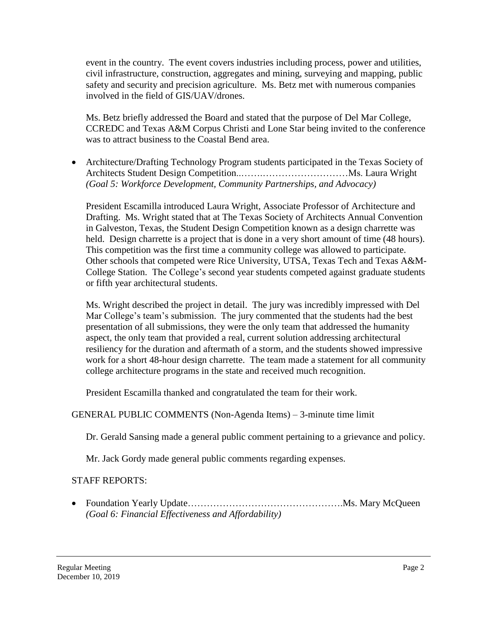event in the country. The event covers industries including process, power and utilities, civil infrastructure, construction, aggregates and mining, surveying and mapping, public safety and security and precision agriculture. Ms. Betz met with numerous companies involved in the field of GIS/UAV/drones.

Ms. Betz briefly addressed the Board and stated that the purpose of Del Mar College, CCREDC and Texas A&M Corpus Christi and Lone Star being invited to the conference was to attract business to the Coastal Bend area.

 Architecture/Drafting Technology Program students participated in the Texas Society of Architects Student Design Competition..…….………………………Ms. Laura Wright *(Goal 5: Workforce Development, Community Partnerships, and Advocacy)* 

President Escamilla introduced Laura Wright, Associate Professor of Architecture and Drafting. Ms. Wright stated that at The Texas Society of Architects Annual Convention in Galveston, Texas, the Student Design Competition known as a design charrette was held. Design charrette is a project that is done in a very short amount of time (48 hours). This competition was the first time a community college was allowed to participate. Other schools that competed were Rice University, UTSA, Texas Tech and Texas A&M-College Station. The College's second year students competed against graduate students or fifth year architectural students.

 work for a short 48-hour design charrette. The team made a statement for all community Ms. Wright described the project in detail. The jury was incredibly impressed with Del Mar College's team's submission. The jury commented that the students had the best presentation of all submissions, they were the only team that addressed the humanity aspect, the only team that provided a real, current solution addressing architectural resiliency for the duration and aftermath of a storm, and the students showed impressive college architecture programs in the state and received much recognition.

President Escamilla thanked and congratulated the team for their work.

# GENERAL PUBLIC COMMENTS (Non-Agenda Items) – 3-minute time limit

Dr. Gerald Sansing made a general public comment pertaining to a grievance and policy.

Mr. Jack Gordy made general public comments regarding expenses.

# STAFF REPORTS:

 Foundation Yearly [Update………………………………………….Ms](https://Update����������������.Ms). Mary McQueen *(Goal 6: Financial Effectiveness and Affordability)*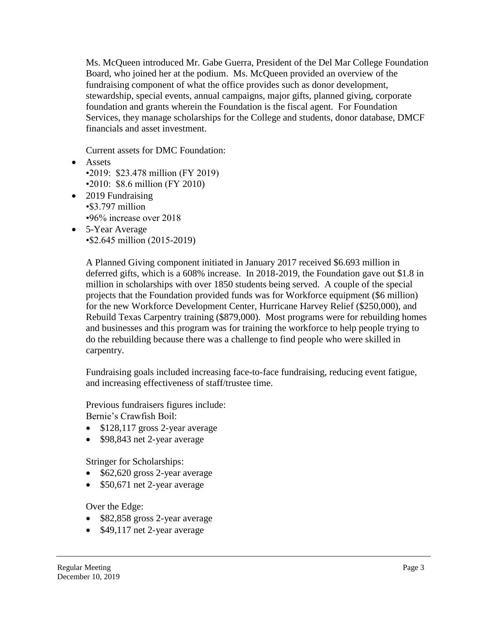Ms. McQueen introduced Mr. Gabe Guerra, President of the Del Mar College Foundation Board, who joined her at the podium. Ms. McQueen provided an overview of the fundraising component of what the office provides such as donor development, stewardship, special events, annual campaigns, major gifts, planned giving, corporate foundation and grants wherein the Foundation is the fiscal agent. For Foundation Services, they manage scholarships for the College and students, donor database, DMCF financials and asset investment.

Current assets for DMC Foundation:

- Assets •2019: \$23.478 million (FY 2019) •2010: \$8.6 million (FY 2010)
- 2019 Fundraising •\$3.797 million •96% increase over 2018
- 5-Year Average •\$2.645 million (2015-2019)

 Rebuild Texas Carpentry training (\$879,000). Most programs were for rebuilding homes A Planned Giving component initiated in January 2017 received \$6.693 million in deferred gifts, which is a 608% increase. In 2018-2019, the Foundation gave out \$1.8 in million in scholarships with over 1850 students being served. A couple of the special projects that the Foundation provided funds was for Workforce equipment (\$6 million) for the new Workforce Development Center, Hurricane Harvey Relief (\$250,000), and and businesses and this program was for training the workforce to help people trying to do the rebuilding because there was a challenge to find people who were skilled in carpentry.

Fundraising goals included increasing face-to-face fundraising, reducing event fatigue, and increasing effectiveness of staff/trustee time.

Previous fundraisers figures include: Bernie's Crawfish Boil:

- $\bullet$  \$128,117 gross 2-year average
- \$98,843 net 2-year average

Stringer for Scholarships:

- $\bullet$  \$62,620 gross 2-year average
- \$50,671 net 2-year average

Over the Edge:

- \$82,858 gross 2-year average
- \$49,117 net 2-year average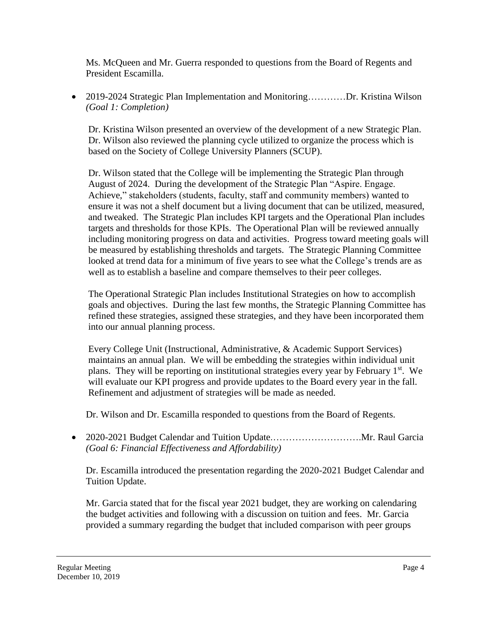Ms. McQueen and Mr. Guerra responded to questions from the Board of Regents and President Escamilla.

• 2019-2024 Strategic Plan Implementation and Monitoring…………Dr. Kristina Wilson *(Goal 1: Completion)* 

Dr. Kristina Wilson presented an overview of the development of a new Strategic Plan. Dr. Wilson also reviewed the planning cycle utilized to organize the process which is based on the Society of College University Planners (SCUP).

Dr. Wilson stated that the College will be implementing the Strategic Plan through August of 2024. During the development of the Strategic Plan "Aspire. Engage. Achieve," stakeholders (students, faculty, staff and community members) wanted to ensure it was not a shelf document but a living document that can be utilized, measured, and tweaked. The Strategic Plan includes KPI targets and the Operational Plan includes targets and thresholds for those KPIs. The Operational Plan will be reviewed annually including monitoring progress on data and activities. Progress toward meeting goals will be measured by establishing thresholds and targets. The Strategic Planning Committee looked at trend data for a minimum of five years to see what the College's trends are as well as to establish a baseline and compare themselves to their peer colleges.

The Operational Strategic Plan includes Institutional Strategies on how to accomplish goals and objectives. During the last few months, the Strategic Planning Committee has refined these strategies, assigned these strategies, and they have been incorporated them into our annual planning process.

Every College Unit (Instructional, Administrative, & Academic Support Services) maintains an annual plan. We will be embedding the strategies within individual unit plans. They will be reporting on institutional strategies every year by February  $1<sup>st</sup>$ . We will evaluate our KPI progress and provide updates to the Board every year in the fall. Refinement and adjustment of strategies will be made as needed.

Dr. Wilson and Dr. Escamilla responded to questions from the Board of Regents.

 2020-2021 Budget Calendar and Tuition [Update.……………………….Mr.](https://Update.���������.Mr) Raul Garcia *(Goal 6: Financial Effectiveness and Affordability)* 

Dr. Escamilla introduced the presentation regarding the 2020-2021 Budget Calendar and Tuition Update.

 Mr. Garcia stated that for the fiscal year 2021 budget, they are working on calendaring the budget activities and following with a discussion on tuition and fees. Mr. Garcia provided a summary regarding the budget that included comparison with peer groups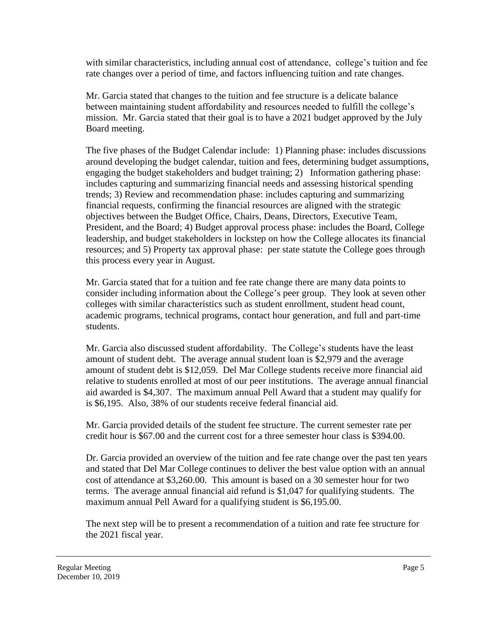with similar characteristics, including annual cost of attendance, college's tuition and fee rate changes over a period of time, and factors influencing tuition and rate changes.

 Mr. Garcia stated that changes to the tuition and fee structure is a delicate balance between maintaining student affordability and resources needed to fulfill the college's mission. Mr. Garcia stated that their goal is to have a 2021 budget approved by the July Board meeting.

The five phases of the Budget Calendar include: 1) Planning phase: includes discussions around developing the budget calendar, tuition and fees, determining budget assumptions, engaging the budget stakeholders and budget training; 2) Information gathering phase: includes capturing and summarizing financial needs and assessing historical spending trends; 3) Review and recommendation phase: includes capturing and summarizing financial requests, confirming the financial resources are aligned with the strategic objectives between the Budget Office, Chairs, Deans, Directors, Executive Team, President, and the Board; 4) Budget approval process phase: includes the Board, College leadership, and budget stakeholders in lockstep on how the College allocates its financial resources; and 5) Property tax approval phase: per state statute the College goes through this process every year in August.

Mr. Garcia stated that for a tuition and fee rate change there are many data points to consider including information about the College's peer group. They look at seven other colleges with similar characteristics such as student enrollment, student head count, academic programs, technical programs, contact hour generation, and full and part-time students.

 aid awarded is \$4,307. The maximum annual Pell Award that a student may qualify for Mr. Garcia also discussed student affordability. The College's students have the least amount of student debt. The average annual student loan is \$2,979 and the average amount of student debt is \$12,059. Del Mar College students receive more financial aid relative to students enrolled at most of our peer institutions. The average annual financial is \$6,195. Also, 38% of our students receive federal financial aid.

Mr. Garcia provided details of the student fee structure. The current semester rate per credit hour is \$67.00 and the current cost for a three semester hour class is \$394.00.

Dr. Garcia provided an overview of the tuition and fee rate change over the past ten years and stated that Del Mar College continues to deliver the best value option with an annual cost of attendance at [\\$3,260.00](https://3,260.00). This amount is based on a 30 semester hour for two terms. The average annual financial aid refund is \$1,047 for qualifying students. The maximum annual Pell Award for a qualifying student is [\\$6,195.00](https://6,195.00).

The next step will be to present a recommendation of a tuition and rate fee structure for the 2021 fiscal year.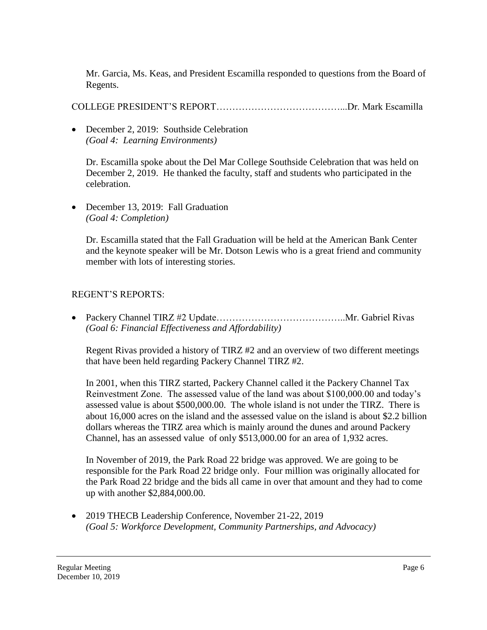Mr. Garcia, Ms. Keas, and President Escamilla responded to questions from the Board of Regents.

COLLEGE PRESIDENT'S [REPORT…………………………………...Dr.](https://REPORT�������������...Dr) Mark Escamilla

• December 2, 2019: Southside Celebration *(Goal 4: Learning Environments)* 

Dr. Escamilla spoke about the Del Mar College Southside Celebration that was held on December 2, 2019. He thanked the faculty, staff and students who participated in the celebration.

• December 13, 2019: Fall Graduation *(Goal 4: Completion)* 

Dr. Escamilla stated that the Fall Graduation will be held at the American Bank Center and the keynote speaker will be Mr. Dotson Lewis who is a great friend and community member with lots of interesting stories.

# REGENT'S REPORTS:

• Packery Channel TIRZ #2 Update………………………………………………………Mr. Gabriel Rivas *(Goal 6: Financial Effectiveness and Affordability)* 

 Regent Rivas provided a history of TIRZ #2 and an overview of two different meetings that have been held regarding Packery Channel TIRZ #2.

In 2001, when this TIRZ started, Packery Channel called it the Packery Channel Tax Reinvestment Zone. The assessed value of the land was about [\\$100,000.00](https://100,000.00) and today's assessed value is about [\\$500,000.00](https://500,000.00). The whole island is not under the TIRZ. There is about 16,000 acres on the island and the assessed value on the island is about \$2.2 billion dollars whereas the TIRZ area which is mainly around the dunes and around Packery Channel, has an assessed value of only [\\$513,000.00](https://513,000.00) for an area of 1,932 acres.

 In November of 2019, the Park Road 22 bridge was approved. We are going to be responsible for the Park Road 22 bridge only. Four million was originally allocated for the Park Road 22 bridge and the bids all came in over that amount and they had to come up with another [\\$2,884,000.00](https://2,884,000.00).

• 2019 THECB Leadership Conference, November 21-22, 2019 *(Goal 5: Workforce Development, Community Partnerships, and Advocacy)*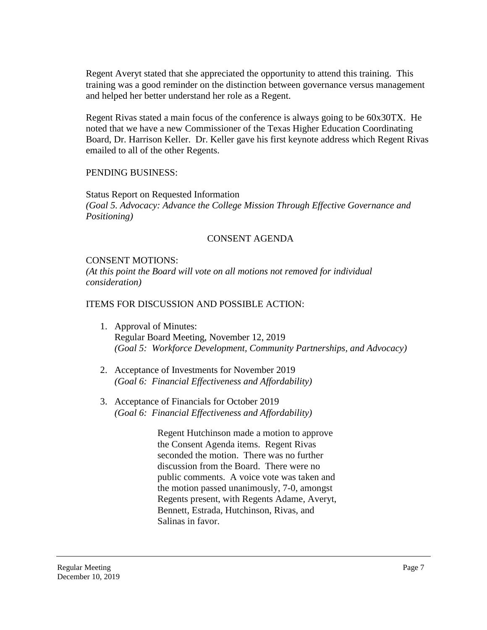Regent Averyt stated that she appreciated the opportunity to attend this training. This training was a good reminder on the distinction between governance versus management and helped her better understand her role as a Regent.

Regent Rivas stated a main focus of the conference is always going to be 60x30TX. He noted that we have a new Commissioner of the Texas Higher Education Coordinating Board, Dr. Harrison Keller. Dr. Keller gave his first keynote address which Regent Rivas emailed to all of the other Regents.

#### PENDING BUSINESS:

Status Report on Requested Information *(Goal 5. Advocacy: Advance the College Mission Through Effective Governance and Positioning)* 

### CONSENT AGENDA

### CONSENT MOTIONS:

*(At this point the Board will vote on all motions not removed for individual consideration)* 

### ITEMS FOR DISCUSSION AND POSSIBLE ACTION:

- 1. Approval of Minutes: Regular Board Meeting, November 12, 2019 *(Goal 5: Workforce Development, Community Partnerships, and Advocacy)*
- 2. Acceptance of Investments for November 2019 *(Goal 6: Financial Effectiveness and Affordability)*
- 3. Acceptance of Financials for October 2019 *(Goal 6: Financial Effectiveness and Affordability)*

Regent Hutchinson made a motion to approve the Consent Agenda items. Regent Rivas seconded the motion. There was no further discussion from the Board. There were no public comments. A voice vote was taken and the motion passed unanimously, 7-0, amongst Regents present, with Regents Adame, Averyt, Bennett, Estrada, Hutchinson, Rivas, and Salinas in favor.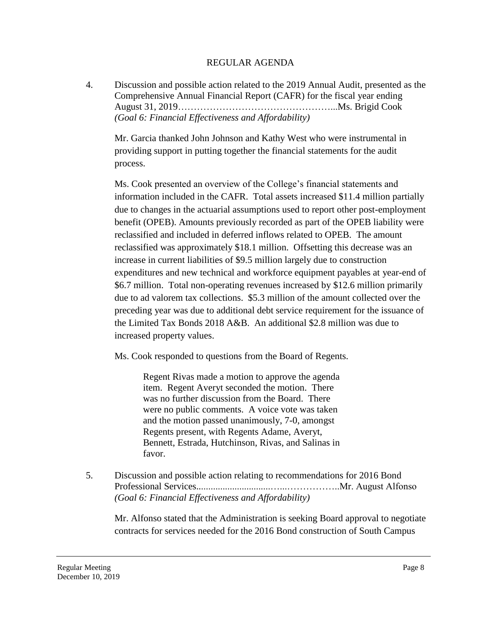### REGULAR AGENDA

4. Discussion and possible action related to the 2019 Annual Audit, presented as the Comprehensive Annual Financial Report (CAFR) for the fiscal year ending August 31, [2019…………………………………………...Ms](https://2019����������������...Ms). Brigid Cook *(Goal 6: Financial Effectiveness and Affordability)* 

Mr. Garcia thanked John Johnson and Kathy West who were instrumental in providing support in putting together the financial statements for the audit process.

 benefit (OPEB). Amounts previously recorded as part of the OPEB liability were Ms. Cook presented an overview of the College's financial statements and information included in the CAFR. Total assets increased \$11.4 million partially due to changes in the actuarial assumptions used to report other post-employment reclassified and included in deferred inflows related to OPEB. The amount reclassified was approximately \$18.1 million. Offsetting this decrease was an increase in current liabilities of \$9.5 million largely due to construction expenditures and new technical and workforce equipment payables at year-end of \$6.7 million. Total non-operating revenues increased by \$12.6 million primarily due to ad valorem tax collections. \$5.3 million of the amount collected over the preceding year was due to additional debt service requirement for the issuance of the Limited Tax Bonds 2018 A&B. An additional \$2.8 million was due to increased property values.

Ms. Cook responded to questions from the Board of Regents.

Regent Rivas made a motion to approve the agenda item. Regent Averyt seconded the motion. There was no further discussion from the Board. There were no public comments. A voice vote was taken and the motion passed unanimously, 7-0, amongst Regents present, with Regents Adame, Averyt, Bennett, Estrada, Hutchinson, Rivas, and Salinas in favor.

5. Discussion and possible action relating to recommendations for 2016 Bond Professional [Services...............................…...……………..Mr.](https://Services...............................�...�����..Mr) August Alfonso *(Goal 6: Financial Effectiveness and Affordability)* 

Mr. Alfonso stated that the Administration is seeking Board approval to negotiate contracts for services needed for the 2016 Bond construction of South Campus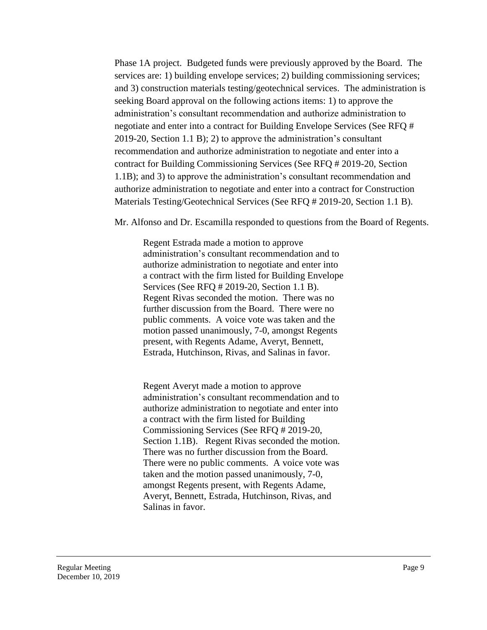and 3) construction materials testing/geotechnical services. The administration is Phase 1A project. Budgeted funds were previously approved by the Board. The services are: 1) building envelope services; 2) building commissioning services; seeking Board approval on the following actions items: 1) to approve the administration's consultant recommendation and authorize administration to negotiate and enter into a contract for Building Envelope Services (See RFQ # 2019-20, Section 1.1 B); 2) to approve the administration's consultant recommendation and authorize administration to negotiate and enter into a contract for Building Commissioning Services (See RFQ # 2019-20, Section 1.1B); and 3) to approve the administration's consultant recommendation and authorize administration to negotiate and enter into a contract for Construction Materials Testing/Geotechnical Services (See RFQ # 2019-20, Section 1.1 B).

Mr. Alfonso and Dr. Escamilla responded to questions from the Board of Regents.

Regent Estrada made a motion to approve administration's consultant recommendation and to authorize administration to negotiate and enter into a contract with the firm listed for Building Envelope Services (See RFQ # 2019-20, Section 1.1 B). Regent Rivas seconded the motion. There was no further discussion from the Board. There were no public comments. A voice vote was taken and the motion passed unanimously, 7-0, amongst Regents present, with Regents Adame, Averyt, Bennett, Estrada, Hutchinson, Rivas, and Salinas in favor.

Regent Averyt made a motion to approve administration's consultant recommendation and to authorize administration to negotiate and enter into a contract with the firm listed for Building Commissioning Services (See RFQ # 2019-20, Section 1.1B). Regent Rivas seconded the motion. There was no further discussion from the Board. There were no public comments. A voice vote was taken and the motion passed unanimously, 7-0, amongst Regents present, with Regents Adame, Averyt, Bennett, Estrada, Hutchinson, Rivas, and Salinas in favor.